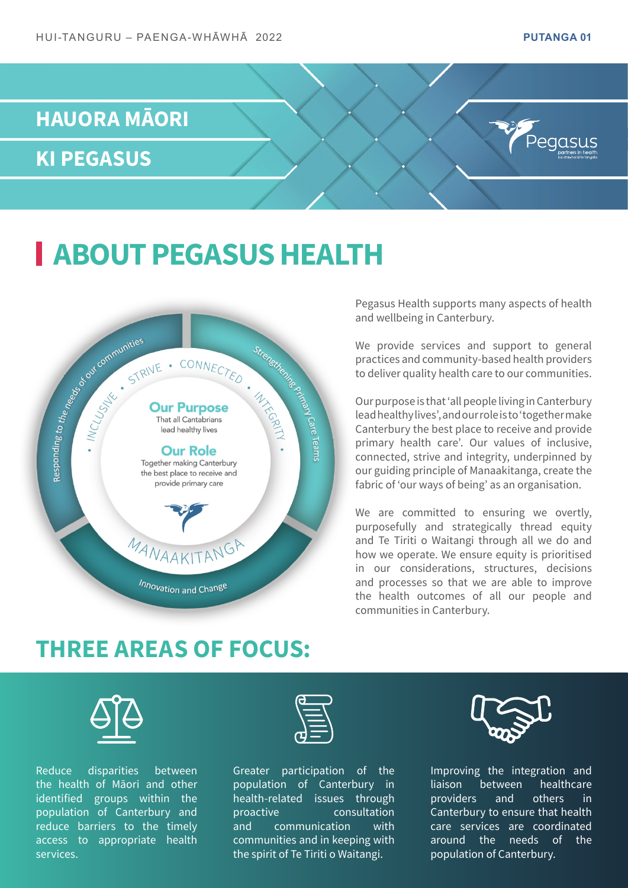## **HAUORA MĀORI**

**KI PEGASUS**

## **ABOUT PEGASUS HEALTH**



Pegasus Health supports many aspects of health and wellbeing in Canterbury.

We provide services and support to general practices and community-based health providers to deliver quality health care to our communities.

Our purpose is that 'all people living in Canterbury lead healthy lives', and our role is to 'together make Canterbury the best place to receive and provide primary health care'. Our values of inclusive, connected, strive and integrity, underpinned by our guiding principle of Manaakitanga, create the fabric of 'our ways of being' as an organisation.

We are committed to ensuring we overtly, purposefully and strategically thread equity and Te Tiriti o Waitangi through all we do and how we operate. We ensure equity is prioritised in our considerations, structures, decisions and processes so that we are able to improve the health outcomes of all our people and communities in Canterbury.

### **THREE AREAS OF FOCUS:**



Reduce disparities between the health of Māori and other identified groups within the population of Canterbury and reduce barriers to the timely access to appropriate health services.



Greater participation of the population of Canterbury in health-related issues through proactive consultation and communication with communities and in keeping with the spirit of Te Tiriti o Waitangi.



Improving the integration and liaison between healthcare providers and others in Canterbury to ensure that health care services are coordinated around the needs of the population of Canterbury.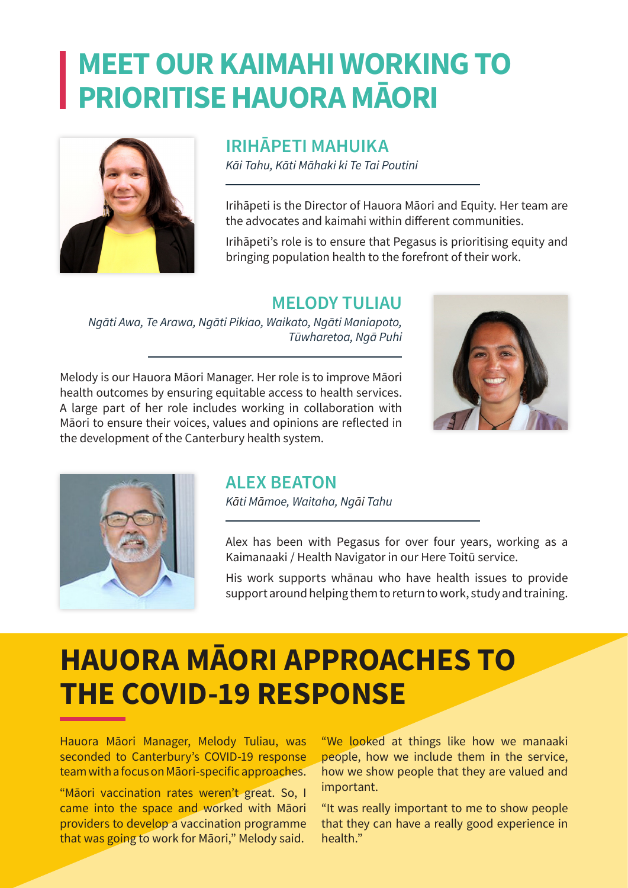## **MEET OUR KAIMAHI WORKING TO PRIORITISE HAUORA MĀORI**



#### **IRIHĀPETI MAHUIKA**

*Kāi Tahu, Kāti Māhaki ki Te Tai Poutini*

Irihāpeti is the Director of Hauora Māori and Equity. Her team are the advocates and kaimahi within different communities.

Irihāpeti's role is to ensure that Pegasus is prioritising equity and bringing population health to the forefront of their work.

#### **MELODY TULIAU**

*Ngāti Awa, Te Arawa, Ngāti Pikiao, Waikato, Ngāti Maniapoto, Tūwharetoa, Ngā Puhi*

Melody is our Hauora Māori Manager. Her role is to improve Māori health outcomes by ensuring equitable access to health services. A large part of her role includes working in collaboration with Māori to ensure their voices, values and opinions are reflected in the development of the Canterbury health system.





#### **ALEX BEATON**

*Kāti Māmoe, Waitaha, Ngāi Tahu*

Alex has been with Pegasus for over four years, working as a Kaimanaaki / Health Navigator in our Here Toitū service.

His work supports whānau who have health issues to provide support around helping them to return to work, study and training.

# **HAUORA MĀORI APPROACHES TO THE COVID-19 RESPONSE**

Hauora Māori Manager, Melody Tuliau, was seconded to Canterbury's COVID-19 response team with a focus on Māori-specific approaches.

"Māori vaccination rates weren't great. So, I came into the space and worked with Māori providers to develop a vaccination programme that was going to work for Māori," Melody said.

"We looked at things like how we manaaki people, how we include them in the service, how we show people that they are valued and important.

"It was really important to me to show people that they can have a really good experience in health."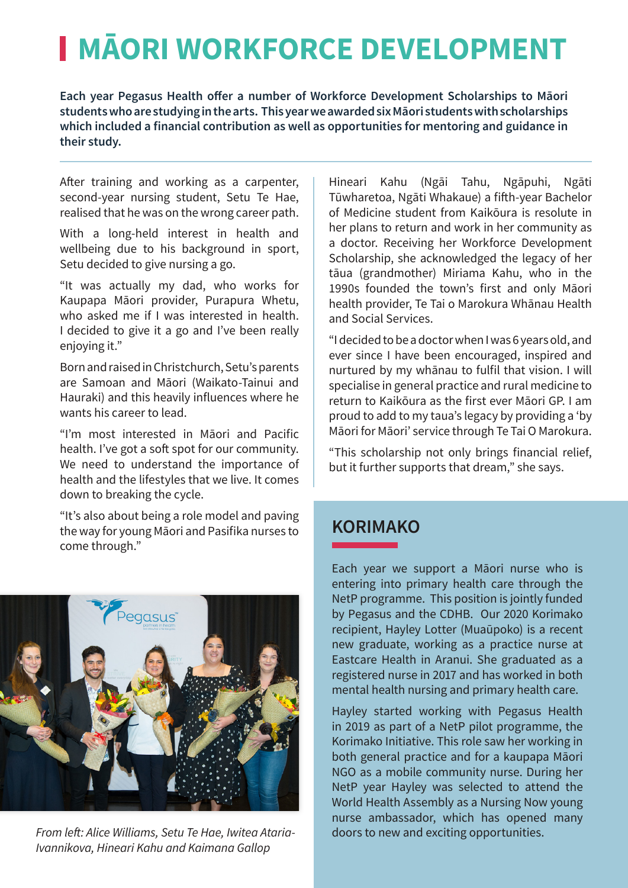# **I MÄORI WORKFORCE DEVELOPMENT**

**Each year Pegasus Health offer a number of Workforce Development Scholarships to Māori students who are studying in the arts. This year we awarded six Māori students with scholarships which included a financial contribution as well as opportunities for mentoring and guidance in their study.** 

After training and working as a carpenter, second-year nursing student, Setu Te Hae, realised that he was on the wrong career path.

With a long-held interest in health and wellbeing due to his background in sport, Setu decided to give nursing a go.

"It was actually my dad, who works for Kaupapa Māori provider, Purapura Whetu, who asked me if I was interested in health. I decided to give it a go and I've been really enjoying it."

Born and raised in Christchurch, Setu's parents are Samoan and Māori (Waikato-Tainui and Hauraki) and this heavily influences where he wants his career to lead.

"I'm most interested in Māori and Pacific health. I've got a soft spot for our community. We need to understand the importance of health and the lifestyles that we live. It comes down to breaking the cycle.

"It's also about being a role model and paving the way for young Māori and Pasifika nurses to come through."



*From left: Alice Williams, Setu Te Hae, Iwitea Ataria-Ivannikova, Hineari Kahu and Kaimana Gallop*

Hineari Kahu (Ngāi Tahu, Ngāpuhi, Ngāti Tūwharetoa, Ngāti Whakaue) a fifth-year Bachelor of Medicine student from Kaikōura is resolute in her plans to return and work in her community as a doctor. Receiving her Workforce Development Scholarship, she acknowledged the legacy of her tāua (grandmother) Miriama Kahu, who in the 1990s founded the town's first and only Māori health provider, Te Tai o Marokura Whānau Health and Social Services.

"I decided to be a doctor when I was 6 years old, and ever since I have been encouraged, inspired and nurtured by my whānau to fulfil that vision. I will specialise in general practice and rural medicine to return to Kaikōura as the first ever Māori GP. I am proud to add to my taua's legacy by providing a 'by Māori for Māori' service through Te Tai O Marokura.

"This scholarship not only brings financial relief, but it further supports that dream," she says.

#### **KORIMAKO**

Each year we support a Māori nurse who is entering into primary health care through the NetP programme. This position is jointly funded by Pegasus and the CDHB. Our 2020 Korimako recipient, Hayley Lotter (Muaūpoko) is a recent new graduate, working as a practice nurse at Eastcare Health in Aranui. She graduated as a registered nurse in 2017 and has worked in both mental health nursing and primary health care.

Hayley started working with Pegasus Health in 2019 as part of a NetP pilot programme, the Korimako Initiative. This role saw her working in both general practice and for a kaupapa Māori NGO as a mobile community nurse. During her NetP year Hayley was selected to attend the World Health Assembly as a Nursing Now young nurse ambassador, which has opened many doors to new and exciting opportunities.